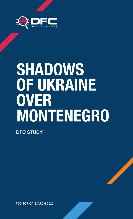

# **SHADOWS OF UKRAINE OVER MONTENEGRO**

**DFC STUDY**

PODGORICA, MARCH 2022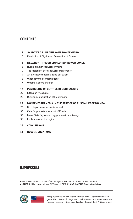### **CONTENTS**

#### **[SHADOWS OF UKRAINE OVER MONTENEGRO](#page-2-0)**

[Revolution of Dignity and Annexation of Crimea](#page-3-0)

#### **[NEGATION – THE ORIGINALLY BORROWED CONCEPT](#page-6-0)**

- [Russia's rhetoric towards Ukraine](#page-6-0)
- [The rhetoric of Serbia towards Montenegro](#page-8-0)
- [An alternative understanding of Nazism](#page-12-0)
- [Other common confabulations](#page-14-0)
- [Ukraine-Kosovo analogy](#page-15-0)

#### **[POSITIONING OF ENTITIES IN MONTENEGRO](#page-17-0)**

- [Sitting on two chairs](#page-18-0)
- [Russian destabilization of Montenegro](#page-20-0)

### **[MONTENEGRIN MEDIA IN THE SERVICE OF RUSSIAN PROPAGANDA](#page-23-0)**

- [No. 1 topic on social media as well](#page-26-0)
- [Calls for protests in support of Russia](#page-28-0)
- [Men's State \(Мужское государство\) in Montenegro](#page-31-0)
- [Implications for the region](#page-33-0)

#### **[CONCLUSIONS](#page-35-0)**

**[RECOMMENDATIONS](#page-39-0)**

### IMPRESSUM

PUBLISHER: Atlantic Council of Montenegro / EDITOR IN CHIEF: Dr Savo Kentera AUTHORS: Milan Jovanovic and DFC team / DESIGN AND LAYOUT: Branka Gardašević



This project was funded, in part, through a U.S. Department of State grant. The opinions, findings, and conclusions or recommendations expressed herein do not necessarily reflect those of the U.S. Government.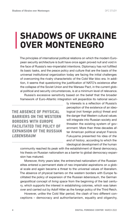### <span id="page-2-0"></span>**SHADOWS OF UKRAINE OVER MONTENEGRO**

The principles of international political relations on which the modern European security architecture is built have once again proved null and void in the face of Russia's neo-imperialist intentions. Diplomacy has not fulfilled its basic tasks, and the peace policy and culture that are the basis of the universal institutional organization today are facing the initial challenges of overcoming the rivalry characteristic of the Cold War bloc era. In addition, it seems that questioning the justification of NATO's existence after the collapse of the Soviet Union and the Warsaw Pact, in the current global political and security circumstances, is at a minimum level of relevance. Russia's excessive sensitivity based on the belief that the broader

framework of Euro-Atlantic integration will jeopardize its national securi-

**THE ABSENCE OF PHYSICAL BARRIERS ON THE WESTERN BORDERS WITH EUROPE FACILITATED THE POLICY OF EXPANSION OF THE RUSSIAN** *LEBENSRAUM*

ty interests is a reflection of Russia's perception of the existence of an ideological (not foreign policy) threat and the danger that Western cultural values will integrate into Russian society and threaten the existing system of government. More than three decades after American political analyst Francis Fukuyama presented his idea of *the end of history*, according to which the ideological development of the human

community reached its peak with the establishment of liberal democracy, his thesis on Russian nationalism as a barrier to global democracy expansion has matured.

Moreover, thirty years later, the entrenched nationalism of the Russian elites entered a permanent state of neo-imperialist aspirations on a global scale and again became a threat to the universal values of liberalism. The absence of physical barriers on the western borders with Europe facilitated the policy of expansion of the Russian *lebensraum*, the German geopolitical concept of *living space* from the beginning of the last century, which supports the interest in establishing colonies, which was taken over and carried out by Adolf Hitler as the foreign policy of the Third Reich.

However, unlike the Cold War period, the clash of two different conceptions – democracy and authoritarianism, equality and oligarchy,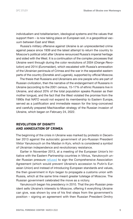<span id="page-3-0"></span>individualism and totalitarianism, ideological systems and the values that support them – is now taking place on European soil, in a geopolitical vacuum between East and West.

Russia's military offensive against Ukraine is an unprecedented crime against peace since 1939 and the latest attempt to return the country to Moscow's political orbit after Ukraine renounced Russia's imperial heritage and sided with the West. It is a continuation of the complex processes that Ukraine went through during the color revolutions of 2004 (*Orange Revolution*) and 2014 (*Euromaidan*), which escalated with Russia's annexation of the Ukrainian peninsula of Crimea and the war in the separatist eastern parts of the country (Donetsk and Lugansk), supported by official Moscow.

The thesis that Russians and Ukrainians are one people who are part of Russian civilization, then the narrative of the endangerment of Russians in Ukraine (according to the 2001 census, 15-17% of ethnic Russians live in Ukraine, and about 20% of the total population speaks Russian as their mother tongue), and the fact that the West violated the promise from the 1990s that NATO would not expand its membership to Eastern Europe, served as a justification and immediate reason for the long-conceived and carefully prepared Machiavellian strategy of the Russian invasion of Ukraine, which began on February 24, 2022.

### **REVOLUTION OF DIGNITY AND ANNEXATION OF CRIMEA**

The beginning of the crisis in Ukraine was marked by protests in December 2013 against the autocratic government of pro-Russian President Viktor Yanukovych on the Maidan in Kyiv, which is considered a symbol of Ukrainian independence and revolutionary resistance.

Earlier in November 2013, at a meeting of the European Union's Initiative with the Eastern Partnership countries in Vilnius, Yanukovych under Russian pressure [refused](https://www.slobodnaevropa.org/a/kijev-uverava-da-ce-potpisati-sporazum-sa-eu/25199264.html) to sign the Comprehensive Association Agreement (which would prevent Ukraine's accession to Putin's Eurasian Union) and instead of introducing European standards and values, the then government in Kyiv began to propagate a customs union with Russia, which at the same time meant greater tutelage of Moscow. The Russian government celebrated the move as a victory.

Yanukovych began his presidency in 2010. That the pro-Russian president sells Ukraine's interests to Moscow, offering it everything Ukraine can give, was shown by one of his first steps from the government's position – signing an agreement with then Russian President Dmitry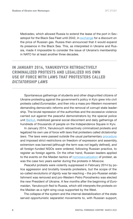Medvedev, which allowed Russia to extend the lease of the port in Sevastopol for the Black Sea Fleet until 2042, in [exchange](https://www.slobodnaevropa.org/a/rusija_ukrajina__gas_nafta/2025944.html) for a discount on the price of Russian gas. Russia then announced that it would expand its presence in the Black Sea. This, as interpreted in Ukraine and Russia, made it impossible to consider the issue of Ukraine's membership in NATO for at least another three decades.

### **IN JANUARY 2014, YANUKOVYCH RETROACTIVELY CRIMINALIZED PROTESTS AND LEGALIZED HIS OWN USE OF FORCE WITH LAWS THAT PROTESTERS CALLED**  *DICTATORSHIP LAWS*

Spontaneous gatherings of students and other disgruntled citizens of Ukraine protesting against the government's policy in Kyiv grew into civil protests called *Euromaidan*, and then into a mass pro-Western movement demanding democratic reforms and the removal of corrupt state leadership. The brutal repression of the authorities and the excessive violence carried out against the peaceful demonstrators by the special police unit [Berkut,](https://www.dw.com/bs/ukrajinska-specijalna-jedinica-berkut-spremna-na-sve/a-17285325) mobilized general social discontent and daily gatherings of hundreds of thousands of people on the Independence Square in Kyiv.

In January 2014, Yanukovych retroactively criminalized protests and legalized his own use of force with laws that protesters called *dictatorship laws*. The laws were passed outside the usual parliamentary [procedure](https://www.bbc.com/news/world-europe-25771595) and imposed strict restrictions on freedom of expression and assembly, extremism was banned (although the term was not legally defined), and all foreign-funded NGOs were ordered, following Russian practice, to register as foreign agents. On the other hand, Russian leaders applied to the events on the Maidan tactics of [homosexualization](http://cd.bos.rs/online-citanka-novi-lideri--nove-mogucnosti-10/uploaded/Timothy%20Snyder%20-%20The%20Road%20to%20Unfreedom(2018).pdf) of protest, as was the case two years earlier during the protests in Moscow.

Peaceful protests were violently suppressed in February 2014 by police aggression and brutality towards protesters, but the scope of the so-called *revolutions of dignity* was far-reaching – the pro-Russian establishment was removed and pro-Western Petro Poroshenko was elected the new President of Ukraine. A few months after the beginning of *Euromaidan*, Yanukovych fled to Russia, which still interprets the protests on the Maidan as a right-wing coup supported by the West.

The collapse of the system and the internal destabilization of the state served opportunistic separatist movements to, with Russian support,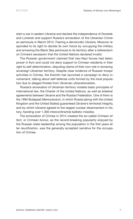start a war in eastern Ukraine and declare the independence of Donetsk and Luhansk and support Russia's annexation of the Ukrainian Crimean peninsula in March 2014. Fearing a democratic Ukraine, Moscow responded to its right to decide its own future by occupying the military and annexing the Black Sea peninsula to its territory after a referendum on Crimea's secession that the United Nations declared invalid.

The Russian government claimed that neo-Nazi forces had taken power in Kyiv and could not deny support to Crimean residents in their right to self-determination, disputing claims of their own role in annexing sovereign Ukrainian territory. Despite clear evidence of Russian troops' activities in Crimea, the Kremlin has launched a campaign to deny involvement, talking about self-defense units formed by the local population due to alleged threats from Ukrainian ultranationalists.

Russia's annexation of Ukrainian territory violates basic principles of international law, the Charter of the United Nations, as well as bilateral agreements between Ukraine and the Russian Federation. One of them is the 1994 Budapest Memorandum, in which Russia (along with the United Kingdom and the United States) guaranteed Ukraine's territorial integrity, and by which Ukraine agreed to the largest nuclear disarmament in history, handing over 1,300 intercontinental ballistic missiles.

The annexation of Crimea in 2014 created the so-called *Crimean effect*, or *Crimean bonus*, as the record-breaking popularity enjoyed by the Russian state leadership among the population in the first years after *reunification*, was the generally accepted narrative for the occupation of Crimea.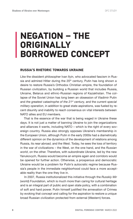### <span id="page-6-0"></span>**NEGATION – THE ORIGINALLY BORROWED CONCEPT**

### **RUSSIA'S RHETORIC TOWARDS UKRAINE**

Like the dissident philosopher Ivan Ilyin, who advocated fascism in Russia and admired Hitler during the 20<sup>th</sup> century, Putin has long shown a desire to restore Russia's Orthodox Christian empire, the foundation of Russian civilization, by building a Russian world that includes Russia, Ukraine, Belarus and ethnic-Russian regions of Kazakhstan. The collapse of the Soviet Union has long been an obsession of Vladimir Putin and *the greatest catastrophe of the 21st century,* and the current *special military operation*, in addition to great state aspirations, was fueled by recent disunity and inability to reach consensus on vital interests between NATO allies and EU members.

That is the essence of the war that is being waged in Ukraine these days. It is not just a matter of banning Ukraine to join the organizations and alliances it wants, including NATO – which is the right of every sovereign country. Russia also strongly opposes Ukraine's membership in the European Union, although Putin in the early 2000s had a diametrically different opinion on the dynamics of the development of relations among Russia, its *near abroad,* and the West. Today, he sees the loss of territory in the war of civilizations – the West, on the one hand, and the *Russian world*, on the other. Therefore, with subordinate Ukraine, led by the new Yanukovych, Russia would become an empire again and corridors would be opened for further action. Otherwise, a prosperous and democratic Ukraine would be a problem for Putin's autocratic regime because Russia's people in the immediate neighborhood could face a more acceptable reality than the one they live in.

In 2007, Russia institutionalized this initiative through the *Russkiy Mir* (world) Foundation, which is much more than caring for cultural heritage and is an integral part of public and open state policy, with a combination of soft and hard power. Putin himself justified the annexation of Crimea by evoking that concept and calling for the aspiration to restore a unique broad Russian civilization protected from external (Western) forces.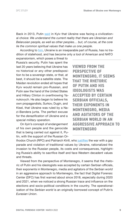Back in 2013, Putin [said](http://www.kremlin.ru/events/president/news/18961) in Kyiv that Ukraine was facing a civilizational choice: *We understand the current reality that there are Ukrainian and Belarusian people, as well as other peoples… but, of course, at the core lie the common spiritual values that make us one people*.

According to [him](http://en.kremlin.ru/events/president/news/66181), Ukraine is an inseparable part of Russia, has no tradition of statehood, and has become only a tool of American and NATO

expansionism, which poses a threat to Russia's security. Putin has spent the last 20 years believing that Ukraine has no historical or any other predisposition to be a sovereign state, or that, at best, it should be a satellite state. The Maidan revolution ended all hopes that Kyiv would remain pro-Russian, and Putin saw the hand of the United States and Hillary Clinton in overthrowing Yanukovych. He also began to believe his own propagandists, Surkov, Dugin, and Kisel, that Ukraine was ruled by a Nazi-Bandera junta. The perfect excuse for the *denazification* of Ukraine and a *special military operation*.

On Ilyin's concept of *endangerment* of his own people and the genocide that is being carried out against it, Putin, with the support of the Russian Or**VIEWED FROM THE PERSPECTIVE OF MONTENEGRO, IT SEEMS THAT THE RHETORIC OF PUTIN AND HIS IDEOLOGISTS WAS ACCEPTED BY CERTAIN SERBIAN OFFICIALS, THEIR EXPONENTS IN MONTENEGRO, MEDIA AND AGITATORS OF THE SERBIAN WORLD IN AN AGGRESSIVE APPROACH TO MONTENEGRO**

thodox Church (RPC) and Patriarch Kirill, who [justifies](https://www.vijesti.me/svijet/evropa/593972/ruski-patrijarh-za-rat-izmedju-rusije-i-ukrajine-krivi-gej-paradu-govorimo-o-ljudskom-spasu) the war with a gay parade and violation of traditional values by Ukraine, rationalized the invasion to the Russian people, its costs and consequences, highlighting Russia's ability to sacrifice itself and face Western decadent values and threats.

Viewed from the perspective of Montenegro, it seems that the rhetoric of Putin and his ideologists was accepted by certain Serbian officials, their exponents in Montenegro, media and agitators of the *Serbian world* in an aggressive approach to Montenegro, the fact that Digital Forensic Center (DFC) has first warned about since 2018, especially during 2020 and 2021, when we noticed a strong Russian trace and influence on the elections and socio-political conditions in the country. The operationalization of the *Serbian world* is an originally borrowed concept of Putin's *Eurasian Union*.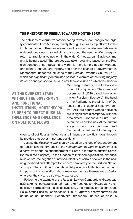### <span id="page-8-0"></span>**THE RHETORIC OF SERBIA TOWARDS MONTENEGRO**

The activities of disruptive factors acting towards Montenegro are largely coordinated from Moscow, mainly through Serbia as a platform for the implementation of Russian interests and goals in the Western Balkans. A well-designed quasi-nationalist narrative about the need for Montenegro's return to traditional values within the wider Orthodox, pan-Slavic community is being placed. The project was taken over and based on the Russian concept of soft power, and within it, there is no place for Montenegrin identity, culture, and history, and after the change of government in Montenegro, under the influence of the Serbian Orthodox Church (SOC), which has significantly determined political dynamics of the ruling majority, its civic concept, secularism and anti-fascist values on which the modern

**AT THE CURRENT STAGE, WITHOUT THE GOVERNMENT AND FUNCTIONAL INSTITUTIONS, MONTENEGRO IS OPEN TO DIRECT RUSSIAN INFLUENCE AND INFLUENCE ON POLITICAL FLOWS**

Montenegrin state is based will also be brought into question. The change of government in 2020 paved the way for malign Russian influence. At the head of the Parliament, the Ministry of Defense and the National Security Agency (ANB) are figures whose activities are in significant discrepancy with the proclaimed European and Euro-Atlantic principles and values. At the current stage, without the Government and functional institutions, Montenegro is

open to direct Russian influence and influence on political flows through its proxies that cover important positions.

Just as the *Russian world* is partly based on the idea of endangerment of Russians in the territories of the *near abroad*, the *Serbian world* implies a narrative about the endangerment of Serbs in territories outside Serbia (Serbs in the diaspora), in the function of their homogenization, historical revisionism, the negation of national identity of certain peoples in the near neighborhood and attempts to tie them completely to the Serbian National Corps. The ambition to decide in Belgrade on all vital issues concerning parts of the population whose members declare themselves as Serbs, wherever they live, is also clearly expressed.

Following the example of the Russian Law on Compatriots (Федеральный закон o государственной политике Российской Федерации в отношении соотечественников за рубежом), the Strategy of National State Policy of the Russian Federation until 2025 (Стратегия государственной национальной политики Российской Федерации на период до 2025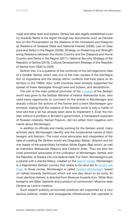года) and other laws and bylaws, Serbia has also legally established a policy towards Serbs in the region through key documents, such as Declaration on the Proclamation on the relations of the Homeland and Diaspora as Relations of Greatest State and National Interest (2006), Law on Diaspora and Serbs in the Region (2009), Strategy on Preserving and Strengthening Relations between the Home Country and the Diaspora and Home Country and Serbs in the Region (2011), National Security Strategy of the Republic of Serbia (2019), Cultural Development Strategy of the Republic of Serbia from 2020 to 2029.

Bottom line, it is a question of the continuity of the old hegemonic idea of a Greater Serbia, which was one of the main causes of the disintegration of Yugoslavia and the bloody ethnic conflicts that took place on its territory in the 1990s. Also, both countries have similarly supported the spread of these ideologies through laws and bylaws, and declarations.

The role of the main political promoter of the [concept](https://www.danas.rs/vesti/drustvo/vulin-srpski-svet-je-moja-ideja-to-smeta-samo-onima-koji-nisu-zavrsili-etnicko-ciscenje/) of the *Serbian world* was given to the Serbian Minister of Interior Aleksandar Vulin, who used every opportunity to comment on the events in Montenegro and sharply criticize the actions of the former and current Montenegrin government, stating that the creation of the *Serbian world* is only a matter of time and that a lot has already been done to implement it. Even the minister without a portfolio in Brnabić's government, a transparent exponent of Russian interests, Nenad Popovic, did not refrain from negative comments about Montenegro.

In addition to officials and media working for the *Serbian world,* many activists deny Montenegrin identity and the fundamental values of Montenegrin anti-fascism. The most vocal advocates and interpreters of the idea of creating the *Serbian world* are Dragoslav Bokan, director and former leader of the paramilitary formation *White Eagles* (Beli orlovi), as well as historians Aleksandar Rakovic and Cedomir Antic. They are also the most prominent advocates of the unification of Montenegro, Serbia, and the Republic of Srpska into one federal state. For them, Montenegrins are a *people with a mental fallacy,* created on the [fascist model,](https://catenamundi.rs/vesti/da-li-ce-crnogorski-separatizam-dovesti-do-novog-bljeska-i-oluje/) Montenegro is a *fragmented Serbian country* that needs to be returned to [factory set](https://www.cdm.me/politika/rakovic-crnogorci-su-felericni-da-osvojimo-niksic-pa-da-ih-popravljamo/)[tings.](https://www.cdm.me/politika/rakovic-crnogorci-su-felericni-da-osvojimo-niksic-pa-da-ih-popravljamo/) In those circles, Montenegro is called *[modern Montenegro](https://borba.me/dragoslav-bokan-za-borbu-moramo-izgraditi-zajednicki-srpski-narativ-crna-gora-je-svrstavanjem-protiv-rusije-u-protivprirodnom-bludu-izgubila-dusu-i-izdala-sopstvenu-istoriju/)* based on hatred towards Serbhood, which will one day return to its roots. Almost identical rhetoric is directed from Moscow towards Kyiv. While Montenegrins are *Djilas' bastards* and a product of communism, Moscow sees Ukraine as Lenin's creation.

Such explicit publicly announced positions are supported by a very serious political, media and propaganda infrastructure that operates in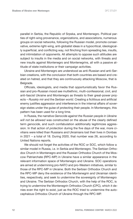parallel in Serbia, the Republic of Srpska, and Montenegro. Political parties of right-wing provenance, organizations, and associations, numerous groups on social networks, following the Russian model, promote conservative, extreme right-wing, anti-globalist ideas in a hypocritical, ideologically superficial, and conflicting way, not flinching from spreading lies, insults, and intimidation of opponents. All attempts to oppose such attitudes are subject to insults in the media and on social networks, with threats and new insults against Montenegro and Montenegrins, all with a passive attitude of state institutions or their campaign activities.

Ukraine and Montenegro are understood as anti-Russian and anti-Serbian creations, with the conclusion that both countries are based and created on hatred, and that they are continuously attacking Moscow, that is Belgrade.

Officials, ideologists, and media that opportunistically favor the Russian and pro-Russian mood see multiethnic, multi-confessional, civil, and anti-fascist Ukraine and Montenegro as threats to their great-power projects – *Russkiy mir* and the *Serbian world*. Creating a fictitious and artificial enemy justifies aggression and interference in the internal affairs of sovereign states under the guise of protecting their people. In Montenegro, this pattern has been used for a long time.

In Russia, the narrative *Genocide against the Russian people in Ukraine will not be allowed* was constructed on the abuse of the clearly defined term *genocide*, and such confabulation additionally legitimizes aggression. In that action of *protection* during the five days of the war, more civilians were killed than Russians and Ukrainians lost their lives in Donbas in 2021 – a total of 18. During 2020, that number was 26, according to United Nations reports.

We should not forget the activities of the ROC or SOC, which follow a similar model in Russia, i.e. in Serbia and Montenegro. The Serbian Orthodox Church in Montenegro and the Russian Orthodox Church of the Moscow Patriarchate (RPC-MP) in Ukraine have a similar appearance in the relevant information space of Montenegro and Ukraine. SOC operations are aimed at undermining pro-NATO and pro-Western initiatives, similar to those of the RPC-MP in Ukraine. Both the Serbian Orthodox Church and the RPC-MP deny the existence of the Montenegrin and Ukrainian identities, respectively, and seek to undermine the sovereignty of Montenegro and Ukraine. The Serbian Orthodox Church, with the help of the ROC, is trying to undermine the Montenegrin Orthodox Church (CPC), which it denies even the right to exist, just as the ROC tried to undermine the autocephalous Orthodox Church of Ukraine through the RPC-MP.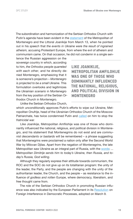The subordination and harmonization of the Serbian Orthodox Church with Putin's agenda have been evident in the [statement](https://www.vijesti.me/vijesti/drustvo/594673/joanikije-dogadjaji-u-ukrajini-su-posljedice-bezboznistva-i-crna-gora-je-projektovana-da-bude-mala-ukrajina) of the Metropolitan of Montenegro and the Littoral Joanikije from March 13, when he pointed out in his *speech* that *the events in Ukraine were the result of ingrained atheism,* accusing Protestant Europe, from where the evil of atheism and communism came. On that occasion, he did not condemn in a single sen-

tence the Russian aggression on the sovereign country in which, according to him, *the Orthodox people quarreled with each other*, and he directly denied Montenegro, emphasizing that it is someone's projection – *Montenegro is projected to be a small Ukraine.* This formulation overlooks and legitimizes the *Ukrainian scenario* in Montenegro from the key position of the Serbian Orthodox Church in Montenegro.

**LIKE JOANIKIJE, METROPOLITAN AMFILOHIJE WAS ONE OF THOSE WHO DOMINANTLY INFLUENCED THE NATIONAL, RELIGIOUS, AND POLITICAL DIVISION IN MONTENEGRO**

Unlike the Serbian Orthodox Church,

which unconditionally approves Putin's efforts to wipe out Ukraine, Metropolitan Onufrije, head of the Ukrainian Orthodox Church of the Moscow Patriarchate, has twice condemned Putin and [called](https://www.vijesti.me/svijet/evropa/592357/onufrije-apelovao-na-putina-da-zaustavi-bratoubilacki-rat) on him to stop the *fratricidal war.*

Like Joanikije, Metropolitan Amfilohije was one of those who dominantly influenced the national, religious, and political division in Montenegro, and his statement that Montenegrins do not exist and are *communist descendants* or *bastards* will be remembered – a phrase suggesting that Montenegrins were proclaimed a nation only after the Second World War by Milovan Djilas. Apart from the negation of Montenegrins, the late Metropolitan saw Ukraine as an integral part of Russia, with the [words:](https://twitter.com/dorcolsamodorco/status/1502038486257442820) *... Metropolitan Dimitrije sends him to today's Ukraine, then Russia, and today's Russia, God willing*.

Although they regularly express their attitude towards communism, the ROC and the SOC do not give up on its totalitarian program: the unity of the leader, the Party, and the people are changing with the unity of the authoritarian leader, the Church, and the people – as resistance to the influence of *godless and rotten* Europe, where democracy, liberalism, and free thought came from.

The role of the Serbian Orthodox Church in promoting Russian influ-ence was also indicated by the European Parliament in its [Resolution](https://www.slobodnaevropa.org/a/evropski-parlament-rezolucija-rusija-zapadni-balkan/31746842.html) on Foreign Interference in Democratic Processes, adopted on March 9.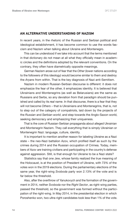### <span id="page-12-0"></span>**AN ALTERNATIVE UNDERSTANDING OF NAZISM**

In recent years, in the rhetoric of the Russian and Serbian political and ideological establishment, it has become common to use the words fascism and Nazism when talking about Ukraine and Montenegro.

This can be understood if we take into account that the terms mentioned in that dictionary do not mean at all what they officially mean in academic circles and the definitions adopted by the relevant conventions. On the contrary, they often have diametrically opposite meanings.

German Nazism arose out of fear that the *Other* (lower nations according to the followers of this ideology) would become similar to them and destroy the *Aryans* from within. That is the key diagnosis of Nazi anti-Semitism.

Nazism in modern Russian-Serbian discourse is different: it does not emphasize the fear of the other, it emphasizes identity. It is believed that Ukrainians and Montenegrins (as well as Belarusians) are the same as Russians and Serbs, so any deviation from that paradigm should be punished and called by its *real name*. In that discourse, there is a fear that they will not become *Others* – that is Ukrainians and Montenegrins, that is, not to step out of the category of compatriots, laid down by the projects of the *Russian* and *Serbian world*, and step towards the Anglo-Saxon world, seeking democracy and emphasizing their uniqueness.

That is the core of Russian-Serbian propaganda about alleged Ukrainian and Montenegrin Nazism. They call everything that is simply Ukrainian or Montenegrin Nazi: language, culture, identity.

It is important to mention another reason for labeling Ukraine as a Nazi state – the neo-Nazi battalion Azov, which profiled itself as such by the crimes during 2014 and the Russian occupation of Crimea. Today, members of Azov are training civilians and participating in the country's defense against aggression. Still, is that enough for Ukraine to be a Nazi state?

Statistics say that one Jew, whose family realized the true meaning of the Holocaust, is at the position of President of Ukraine, with 73% of the votes won in the 2019 elections. During the parliamentary elections of the same year, the right-wing *Svoboda* party won 2.13% of the vote and is far below the threshold.

Also, after the overthrow of Yanukovych and the formation of the government in 2014, neither *Svoboda* nor the *Right Sector*, as right-wing parties, passed the threshold, so the government was formed without the participation of the right-wing. In May 2014, in the presidential election in which Poroshenko won, two ultra-right candidates took less than 1% of the vote.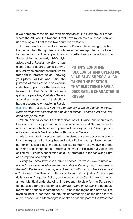If we compare these figures with democracies like Germany or France, where the AfD and the National Front have much more success, can we use this logic to treat these two countries as fascist?

Is Ukrainian fascism really a problem? Putin's intellectual guru is Ivan Ilyin, whom he often quotes, and whose works are reprinted and offered for reading to the Russian public and army. After being expelled from the

Soviet Union in the early 1920s, Ilyin advocated a Russian version of fascism: a state as an organic community led by an omnipotent ruler, where freedom is interpreted as knowing your place. For Ilyin (and Putin), the purpose of the election is to express collective support for the leader, not to elect him. Putin's longtime ideologist and operative, Vladislav Surkov, also takes the position that elections have a decorative character in Russia,

**PUTIN'S LONGTIME IDEOLOGIST AND OPERATIVE, VLADISLAV SURKOV, ALSO TAKES THE POSITION THAT ELECTIONS HAVE A DECORATIVE CHARACTER IN RUSSIA**

[claiming](https://www.ng.ru/ideas/2019-02-11/5_7503_surkov.html) that Russia is *a new type of country in which interest in discussions of what democracy should be and whether it should exist at all has been completely lost.*

When Putin talks about the denazification of Ukraine, one should also keep in mind his support for numerous conservative and Nazi movements across Europe, which he has supplied with money since 2014 and provided a strong *media back* together with Vladislav Surkov.

Alexander Dugin, a proponent of fascism, once an obscure academic and marginalized philosopher, and today Putin's court philosopher and author of Russia's neo-imperialist policy, faithfully follows Ilyin's steps, speaking of an independent Ukraine as a threat to Russian civilization and calling for Ukraine's annexation as a key prerequisite for achieving Euroasian imperialistic project.

*Every so-called truth is a matter of belief. So we believe in what we do and we believe in what we say. And that is the only way to determine the truth. We have our own special Russian truth that you have to accept* – Dugin said. The Russian truth is a suitable myth to justify Putin's imperialist vision. Dragoslav Bokan, an ideologist of the *Serbian world*, has an almost identical understanding. In a recent interview for the *Borba* portal, he called for the creation of a *common Serbian narrative* that should represent a national landmark for all Serbs in the region and beyond. The mythical past is incorporated into this understanding as the basis for the current action, and Montenegro is spoken of as the part of the West that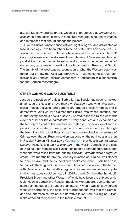<span id="page-14-0"></span>attacks Moscow and Belgrade, which is characterized as *unnatural obscenity*. In both cases, history is a spiritual resource, a source of images and references that should change the present.

Like in Russia, where conservatives, right-wingers, and advocates of fascist ideology have been rehabilitated on state television since 2012, a similar trend is observed in Serbia, where various TV channels, such as *TV Happy*, give space to the aforementioned deniers of Montenegro. Another parallel line that permeates the negative discourse is the understanding of democracy as a Western creation in order to weaken Russia and Serbia. The enmity of the West was not a question of what the Western actor was doing, but of how the West was portrayed. Thus, multiethnic, multi-confessional, civil, and anti-fascist Montenegro is understood as a euphemism for anti-Serbian Montenegro.

### **OTHER COMMON CONFABULATIONS**

Just as the position of official Serbia is that Serbia has never attacked anyone, so the Russians have their own *Russian truth*, which Russian officials, media, activists, and paramilitary groups tirelessly repeat, and it comes from Ivan Ilyin. Ilyin claimed that Russia lives by self-defense, that is, that *every action is only a justified Russian response to the constant external threat of the decadent West*. Every conquest and expansion of the territory was out of the need for self-defense. The adoption of such a paradigm and strategy of *denying the obvious* was evident first through the Kremlin's claims that Russia was in no way involved in the seizure of Crimea, even though Russian soldiers paraded on the peninsula, and then in Russian Foreign Minister Lavrov's [statement](https://www.euronews.com/2022/03/10/ukraine-war-russia-did-not-attack-ukraine-says-lavrov-after-meeting-kuleba) that Russia *did not attack Ukraine*. Also, Russia *did not take part* in the war in Donbas, in the east of Ukraine. That version is still valid. The people spontaneously rose, and weapons were *taken from the enemy, Russian uniforms were bought in stores*. Two months before the February invasion of Ukraine, we listened to Putin, Lavrov, and their subordinate spokesmen that Russia has no intention of attacking and that the accumulation of troops along the border with Ukraine is its internal affair, regular exercise, and maneuvers - quite similar messages could be heard in 2014 as well. On the other hand, US President Biden and other Western officials have been the subject of ridicule, even in certain pro-Russian media in Montenegro, due to the constant pointing out of the danger of an attack. When it was already certain what was happening, the next level of propaganda was that the Ukrainians shell themselves, which is a narrative taken from our region – Bosniaks attacked themselves in the Markale market.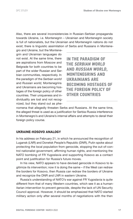<span id="page-15-0"></span>Also, there are several inconsistencies in Russian-Serbian propaganda towards Ukraine, i.e. Montenegrin – Ukrainian and Montenegrin society is full of nationalists, but the Ukrainian and Montenegrin nations do not exist; there is linguistic assimilation of Serbs and Russians in Montene-

gro and Ukraine, but the Montenegrin and Ukrainian languages do not exist. At the same time, there are aspirations from Moscow and Belgrade for both countries to be part of the wider Russian and Serbian communities, respectively. In the paradigm of the *Serbian world* and *Russian world,* Montenegrins and Ukrainians are becoming hostages of the foreign policy of other countries. Their uniqueness and individuality are lost and not recognized, but they stand out as phe-

**IN THE PARADIGM OF THE** *SERBIAN WORLD* **AND** *RUSSIAN WORLD***, MONTENEGRINS AND UKRAINIANS ARE BECOMING HOSTAGES OF THE FOREIGN POLICY OF OTHER COUNTRIES**

nomena that allegedly threaten Serbs and Russians. At the same time, the alleged threat is used as a justification for Serbia-Russia interference in Montenegro's and Ukraine's internal affairs and attempts to derail their foreign policy course.

### **UKRAINE-KOSOVO ANALOGY**

In his address on February 21, in which he announced the recognition of Lugansk (LNR) and Donetsk People's Republic (DNR), Putin spoke about protecting the local population from genocide, stopping the out-of-control nationalist government, affirming human rights, and mentioning the NATO bombing of FR Yugoslavia and supporting Kosovo as a contact point and justification for Russia's future moves.

In his view, NATO appears to have devised genocide in Kosovo to legitimize its intervention; now it is doing the same – if the West can redraw the borders for Kosovo, then Russia can redraw the borders of Ukraine and recognize the DNR and LNR in eastern Ukraine.

Russia's understanding of NATO's war against FR Yugoslavia is quite different from that of many Western countries, which see it as a humanitarian intervention to prevent genocide, despite the lack of UN Security Council approval. However, it should be emphasized that NATO started military action only after several months of negotiations with the then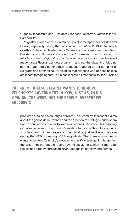Yugoslav leadership and President Slobodan Milosevic, which failed in Rambouillet.

Yugoslavia was a constant reference point in the speeches of Putin and Lavrov, especially during the *Euromaidan revolution* 2013-2014, which overthrew Ukrainian leader Viktor Yanukovych, a corrupt and nepotistic Russian ally. Putin was convinced that *Euromaidan* was organized by *mindless agents of global sexual decadence whose actions endangered the innocent Russian national organism*, and not the citizens of Ukraine, so the state media continuously broadcast footage of the bombing of Belgrade and other cities. By claiming that all those who oppose politics are in fact foreign agents, Putin has located all responsibility for Russia's

**THE KREMLIN ALSO CLEARLY WANTS TO REMOVE ZELENSKY'S GOVERNMENT IN KYIV, JUST AS, IN HIS OPINION, THE WEST, NOT THE PEOPLE, OVERTHREW MILOSEVIC**

problems outside his country's borders. The Kremlin's incessant claims about the genocide in Donbas and the creation of a refugee crisis seem like obvious efforts to refer to Western actions in Kosovo. This mapping can also be seen in the Kremlin's military tactics, with strikes on infrastructural and military targets across Ukraine, just as it was the case during the NATO bombing of FR Yugoslavia. The Kremlin also clearly wants to remove Zelensky's government in Kyiv, just as, in his opinion, the West, not the people, overthrew Milosevic. In achieving that goal, Russia has already surpassed NATO actions in intensity and crimes.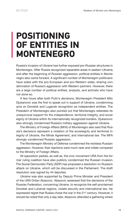### <span id="page-17-0"></span>**POSITIONING OF ENTITIES IN MONTENEGRO**

Russia's invasion of Ukraine has further exposed pro-Russian structures in Montenegro. After Russia recognized separatist areas in eastern Ukraine, and after the beginning of Russian aggression, political entities in Montenegro also came forward. A significant number of Montenegrin politicians have sided with the pro-European and pro-Western sides, sharing condemnation of Russia's aggression with Western partners. However, there are a large number of political entities, analysts, and activists who have not done so.

A few hours after both Putin's decisions, Montenegrin President Milo Djukanovic was the first to speak out in support of Ukraine, condemning acts on Donetsk and Lugansk recognition as independent entities. The President of Montenegro also pointed out that Montenegro reiterates its unequivocal support for the independence, territorial integrity, and sovereignty of Ukraine within its internationally recognized borders. Djukanovic also strongly condemned Russia's military aggression against Ukraine.

The Ministry of Foreign Affairs (MFA) of Montenegro also said that Russia's decisions represent a violation of the sovereignty and territorial integrity of Ukraine, the Minsk Agreement, and international law. The MFA strongly condemned Russian aggression.

The Montenegrin Ministry of Defense condemned the reckless Russian aggression. However, their reactions were much rarer and milder compared to the Ministry of Foreign Affairs.

All opposition parties, as well as, the civic movement URA from the former ruling coalition have also publicly condemned the Russian invasion. The Social Democratic Party (SDP) has proposed a resolution on Russia's attack on Ukraine, which will be discussed in the Parliament. The draft resolution was signed by 44 deputies.

Ukraine was also supported by Deputy Prime Minister and President of the URA Dritan Abazovic. Abazovic assessed that the decisions of the Russian Federation, concerning Ukraine, to recognize the self-proclaimed Donetsk and Luhansk regions, violate security and international law. He expressed regret that Russia chose the war in the 21<sup>st</sup> century. However, it should be noted that only a day later, Abazovic attended a gathering where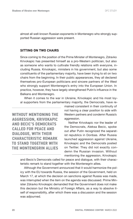<span id="page-18-0"></span>almost all well-known Russian exponents in Montenegro who strongly supported Russian aggression were present.

### **SITTING ON TWO CHAIRS**

Since coming to the position of the Prime Minister of Montenegro, Zdravko Krivokapic has presented himself as a pro-Western politician, but also as someone who wants to cultivate friendly relations with everyone, including Russia. Krivokapic, ministers in his government, but also some constituents of the parliamentary majority, have been trying to sit on two chairs from the beginning. In their public appearances, they all declared themselves pro-European politicians and sincere partners of the West who strongly support Montenegro's entry into the European Union. In practice, however, they have largely strengthened Putin's influence in the Balkans and Montenegro.

When it comes to the war in Ukraine, Krivokapic and his most loyal supporters from the parliamentary majority, the Democrats, have re-

**WITHOUT MENTIONING THE AGGRESSION, KRIVOKAPIC AND BECIC'S DEMOCRATS CALLED FOR PEACE AND DIALOGUE, WITH THEIR CHARACTERISTIC REMARK TO STAND TOGETHER WITH THE MONTENEGRIN ALLIES**

mained consistent in their continuity of not having a clear position to side with Western partners and condemn Russia's aggression.

Neither Krivokapic nor the leader of the Democrats, Aleksa Becic, spoke out after Putin recognized the separatist republics in Donbas. After Russia launched aggression against Ukraine, Krivokapic and the Democrats posted on Twitter. They did not exactly condemn the Russian invasion. Without mentioning the aggression, Krivokapic

and Becic's Democrats called for peace and dialogue, with their characteristic remark to stand together with the Montenegrin allies.

Although the Government announced that it would harmonize the policy with the EU towards Russia, the session of the Government, held on March 17, at which the decision on sanctions against Russia was made, was interrupted when the item on the agenda was discussed. Prime Minister Zdravko Krivokapic demanded that the Government does not make this decision but the Ministry of Foreign Affairs, as a way to absolve itself of responsibility, after which there was a discussion and the session was adjourned.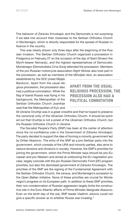This behavior of Zdravko Krivokapic and the Democrats is not surprising if we take into account their closeness to the Serbian Orthodox Church in Montenegro, which is directly responsible for the spread of Russian influence in the country.

This was clearly shown only three days after the beginning of the Russian invasion. The Serbian Orthodox Church organized a procession in Podgorica on February 27 on the occasion of the day of Saint Simeon the Myrrh-bearer Nemanjic, and the highest representatives of Democratic Montenegro (Demokratska Crna Gora) attended the procession. Members of the pro-Russian motorcycle association *Night Wolves* also took part in the procession, as well as members of the Miholjski zbor, an association

established by the SOC priest Mijajlo Backovic. Apart from the usual religious procession, the procession also had a political connotation. While the flag of tsarist Russia was flying in his background, the Metropolitan of the Serbian Orthodox Church Joanikije said that the Metropolitan of Kyiv and

### **APART FROM THE USUAL RELIGIOUS PROCESSION, THE PROCESSION ALSO HAD A POLITICAL CONNOTATION**

All Ukraine Onufrije was in a great crossfire and that he hoped to preserve the canonical unity of the Ukrainian Orthodox Church. It should be pointed out that Onufrije is not a priest of the Ukrainian Orthodox Church, but the Russian Orthodox Church in Ukraine.

The Socialist People's Party (SNP) has been at the center of attention since the no-confidence vote in the Government of Zdravko Krivokapic. The party decided to support the idea of forming a minority government led by Dritan Abazovic. The entry of the SNP as a pro-Serbian party into the government, which consists of the URA and minority parties, also aims to reduce tensions and divisions in society. However, the SNP's priorities for joining the government, which the Prime Minister says should be pro-European and pro-Western and aimed at unblocking the EU negotiation process, largely coincide with the pro-Russian Democratic Front (DF) program priorities, but also the dismissed government of Zdravko Krivokapic. The priorities of the SNP are the signing of the Fundamental Agreement with the Serbian Orthodox Church, the census, and Montenegro's accession to the *Open Balkan Initiative*. None of these priorities are crucial for Montenegro's progress on its European path. In addition to these SNP priorities, their non-condemnation of Russian aggression largely limits the constructive role in the Euro-Atlantic efforts of Prime Minister-designate Abazovic. Even on the tenth day of the war, SNP leader Vladimir Jokovic could not give a *specific answer as to whether Russia was invading*."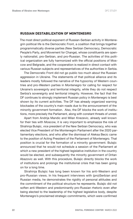### <span id="page-20-0"></span>**RUSSIAN DESTABILIZATION OF MONTENEGRO**

The most direct political exponent of Russian-Serbian activity in Montenegrin political life is the Democratic Front, a coalition that brings together programmatically diverse parties (New Serbian Democracy, Democratic People's Party, and Movement for Change), whose constituents are openly nationalist, pro-Serbian, and pro-Russian. The activities of this political organization are fully harmonized with the official positions of Moscow and Belgrade, and the cooperation is realized in direct contact with various Russian subjects and representatives of the authorities in Serbia.

The Democratic Front did not go public too much about the Russian aggression in Ukraine. The statements of that political alliance and its leaders mostly followed the narrative of the hypocrisy of Western countries and pro-Western parties in Montenegro for calling for respect for Ukraine's sovereignty and territorial integrity, while they do not respect Serbia's sovereignty and territorial integrity. However, the fact that the DF continues to strongly implement Russian policy in Montenegro is best shown by its current activities. The DF has already organized warning blockades of the country's main roads due to the announcement of the minority government formation. Also, the DF blocks the work of institutions, more precisely the Parliament, along with constant threats of unrest.

Apart from Andrija Mandic and Milan Knezevic, already well known for their ties with Moscow, it is very important to emphasize the role of Strahinja Bulajic, vice president of the New Serbian Democracy, who was elected Vice President of the Montenegrin Parliament after the 2020 parliamentary elections, and who after the dismissal of Aleksa Becic came to the position of Acting President of the Parliament of Montenegro. That position is crucial for the formation of a minority government. Bulajic announced that he would not schedule a session of the Parliament at which a new president of the highest legislative institution in the country would be elected, and subsequently the minority government of Dritan Abazovic as well. With this procedure, Bulajic directly blocks the work of institutions and prolongs the institutional crisis that has been going on for a long time.

Strahinja Bulajic has long been known for his anti-Western and pro-Russian views. In his frequent interviews with (pro)Serbian and Russian media, he demonstrates the rigidity of personal attitudes and the commitment of the political structure he represents. Bulajic did not soften anti-Western and predominantly pro-Russian rhetoric even after being elected to the leadership of the highest legislative body, despite Montenegro's proclaimed strategic commitments, which were confirmed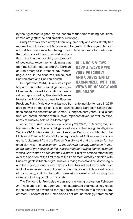by the Agreement signed by the leaders of the three winning coalitions immediately after the parliamentary elections.

Bulajic's views have always been very precisely and consistently harmonized with the views of Moscow and Belgrade. In this regard, he stated that both nations – Montenegrin and Ukrainian were formed under

the patronage of the communist authorities in the twentieth century as a product of ideological experiments, claiming that the first Serbian states and the Serbian church emerged in present-day Montenegro, and, in the case of Ukraine, first Russian state and Russian church.

In September 2014, Bulajic was a participant in an international gathering in Moscow dedicated to traditional family values, sponsored by Russian billionaire Konstantin Malofeyev, close to Russian

**BULAJIC'S VIEWS HAVE ALWAYS BEEN VERY PRECISELY AND CONSISTENTLY HARMONIZED WITH THE VIEWS OF MOSCOW AND BELGRADE**

President Putin. Malofejev was banned from entering Montenegro in 2015 after he was on the list of Russian citizens under European Union sanctions due to the annexation of Crimea. During the past years, Bulajic had frequent communication with Russian representatives, as well as exponents of Russian politics in Montenegro.

As for the current situation, on February 20, 2022, in Danilovgrad, Bulajic met with the Russian intelligence officers of the Foreign Intelligence Service (SVR), Viktor Antipin, and Alexander Perishov. On March 4, the Ministry of Foreign Affairs of Montenegro declared Antipin a *persona non grata*. A statement from the Foreign Ministry said that the reason for the expulsion was the *assessment of the relevant security bodies in Montenegro about the activities of the Russian diplomat, which conflict with the Vienna Convention on Diplomatic Relations*. Bulajic's actions after taking over the position of the first man of the Parliament directly coincide with Russia's goals in Montenegro. Russia is trying to destabilize Montenegro and the region, through various types of institutional and extra-institutional blockades. Also through the reduction of any kind of democratization of the country, and disinformation campaigns aimed at introducing divisions and inciting conflicts in society.

The Democratic Front also organized a warning protest on February 24. The leaders of that party and their supporters blocked all key roads in the country as a warning for the possible formation of a minority government. Leaders of the Democratic Font are increasingly threatening/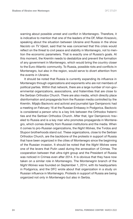warning about possible unrest and conflict in Montenegro. Therefore, it is indicative to mention that one of the leaders of the DF, Milan Knezevic, speaking about the situation between Ukraine and Russia in the show *Nacisto* on *TV Vijesti*, said that he was concerned that this crisis would reflect on the threat to civil peace and stability in Montenegro, not to mention the economic parameters. That is exactly one of Russia's goals. At this moment, the Kremlin needs to destabilize and prevent the formation of any government in Montenegro, which would bring the country closer to the Euro-Atlantic community. To Russia, possible riots and conflicts in Montenegro, but also in the region, would serve to divert attention from the events in Ukraine.

It should be noted that Russia is currently expanding its influence in Montenegro through organizations and exponents who are not members of political parties. Within that network, there are a large number of non-governmental organizations, associations, and fraternities that are close to the Serbian Orthodox Church. There are also media, which directly place disinformation and propaganda from the Russian media controlled by the Kremlin. Mijajlo Backovic and activist and journalist Igor Damjanovic had a meeting on February 16 at the Russian Embassy in Podgorica. Backovic is considered a person who is a key link between the Orthodox fraternities and the Serbian Orthodox Church. After that, Igor Damjanovic traveled to Russia and is a key man who promotes propaganda in Montenegro, which comes directly from Russian institutions and the media. When it comes to pro-Russian organizations, the *Night Wolves*, the Tvrdos and Stupovi brotherhoods stand out. These organizations, close to the Serbian Orthodox Church, are the backbone of the protests in support of Russia that have been organized in the cities of Montenegro since the beginning of the Russian invasion. It should be noted that the *Night Wolves* were one of the levers that Putin used during the annexation of Crimea. The cooperation between that ultra-right group and the President of Russia was noticed in Crimea even after 2014. It is obvious that they have now taken on a similar role in Montenegro. The Montenegrin branch of the *Night Wolves* was founded on September 1, 2014, with its headquarters in Podgorica, and the DFC wrote about that organization in a study on Russian influence in Montenegro. Protests in support of Russia are being organized not only in Montenegro but also in Serbia.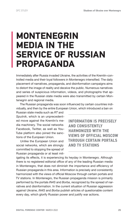### <span id="page-23-0"></span>**MONTENEGRIN MEDIA IN THE SERVICE OF RUSSIAN PROPAGANDA**

Immediately after Russia invaded Ukraine, the activities of the Kremlin-controlled media and their loyal followers in Montenegro intensified. The daily placement of narratives, propaganda, and disinformation campaigns aims to distort the image of reality and deceive the public. Numerous narratives and series of suspicious information, videos, and photographs that appeared in the Russian state media were also transmitted by certain Montenegrin and regional media.

The Russian propaganda was soon influenced by certain countries individually, and then by the entire European Union, which introduced a ban on

Russian state media such as *RT* and *Sputnik*, which is an unprecedented move against the Kremlin's media machinery. The social networks Facebook, Twitter, as well as You-Tube platform also joined the sanctions of the European Union.

Unlike the European Union and social networks, which are strongly committed to stopping the spread of Russian propaganda or at least mit-

**INFORMATION IS PRECISELY AND CONSISTENTLY HARMONIZED WITH THE VIEWS OF OFFICIAL MOSCOW THROUGH CERTAIN PORTALS AND TV STATIONS**

igating its effects, it is experiencing its heyday in Montenegro. Although there is no registered editorial office of any of the leading Russian media in Montenegro, that does not diminish the importance and efficiency of Russian propaganda in this area. Information is precisely and consistently harmonized with the views of official Moscow through certain portals and TV stations. In Montenegro, the Russian propaganda mission is primarily performed by the portals *IN4S* and *Borba*, recognized by the spread of narratives and disinformation. In the current situation of Russian aggression against Ukraine, *IN4S* and *Borba* publish articles of questionable content every day, which glorify Russian power and justify war actions.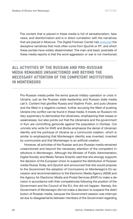The content that is placed in these media is full of sensationalism, fake news, and disinformation and is in direct correlation with the narratives that are placed in Moscow. The Digital Forensic Center has [analyzed](https://dfcme.me/srpski-svet-brani-ruski-mir/) the deceptive narratives that most often come from *Sputnik* or *RT*, and which these portals have widely disseminated. The main and basic postulate of these media reports is that the word aggression or war is not mentioned.

### **ALL ACTIVITIES OF THE RUSSIAN AND PRO-RUSSIAN MEDIA REMAINED UNSANCTIONED AND BEYOND THE NECESSARY ATTENTION OF THE COMPETENT INSTITUTIONS IN MONTENEGRO**

Pro-Russian media prefer the terms *special military operation* or *crisis* in Ukraine, just as the Russian state leadership and Russian state media call it. Content that glorifies Russia and Vladimir Putin, and puts Ukraine and the West in a negative context, further accusing the West of pushing Ukraine into conflict can be found in these media. It insists on Russia's military supremacy to demoralize the Ukrainians, emphasizing their losses or weaknesses, but also points out that the Ukrainians and the government in Kyiv are committing genocide against the population in Donbas. Columnists who write for *IN4S* and *Borba* emphasize the denial of Ukrainian identity and the portrayal of Ukraine as a communist creation, which is similar to emphasizing that Montenegrin identity was invented, invented by communists and that Montenegro is an artificial creation.

However, all activities of the Russian and pro-Russian media remained unsanctioned and beyond the necessary attention of the competent institutions in Montenegro. Although the Minister of Public Administration, Digital Society and Media Tamara Srzentic said that she strongly supports the decision of the European Union to suspend the distribution of Russian media *Russia Today* and *Sputnik* and announced that she would propose to the Government the adoption of Conclusions on Montenegro's EU accession and recommendations to the Electronic Media Agency (AEM) and the Agency for Electronic Media and Postal Services (EKIP) to make a decision in accordance with their competencies following the position of the Government and the Council of the EU, this did not happen. Namely, the Government of Montenegro did not make a decision to suspend the distribution of Russian media, because the Government session was interrupted due to disagreements between members of the Government regarding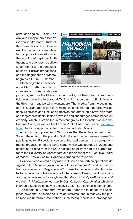sanctions against Russia. The obvious irresponsible behavior and indifferent attitude of the members of the Government in the technical mandate to manipulate information and the inability of captured institutions and agencies to actively contribute to the continued spread of Russian propaganda and the degradation of Montenegro as a future EU member.

Montenegro has never had a problem with the official channels of Russian state pro-



Screenshot of the title on the *IN4S* portal

paganda, such as the EU-sanctioned media, but their informal and unofficial wings – in the foreground *IN4S*, which according to SimilarWeb is the third most-read portal in Montenegro. That media, from the beginning of the Russian aggression on Ukraine, inflames hatred, supports war actions, relativizes and justifies aggression and attack on a sovereign state, and targets dissidents. It also provokes and encourages hatred based on ethnicity, which is prohibited in Montenegro by the Constitution and the Criminal Code, as well as the Law on Public Order and Peace, [congratu](https://www.pobjeda.me/clanak/obiljezavanjem-mladicevog-rodendana-krse-ustav-krivicni-i-zakon-o-javnom-redu-i-miru?fbclid=IwAR0F29Dr3cNf4tA5fUy_wE1QyR9fdAjiz72AB1ibi7tSGrTAjFH_R0SXOwQ)[lating](https://www.pobjeda.me/clanak/obiljezavanjem-mladicevog-rodendana-krse-ustav-krivicni-i-zakon-o-javnom-redu-i-miru?fbclid=IwAR0F29Dr3cNf4tA5fUy_wE1QyR9fdAjiz72AB1ibi7tSGrTAjFH_R0SXOwQ) the birthday of convicted war criminal Ratko Mladic.

Although the Impressum of *IN4S* states that the editor-in-chief is Felix Savon, the editor of the portal is Gojko Raicevic, who presents himself in public as editor. Raicevic is also an authorized person in the non-governmental organization of the same name, which was founded in 2009, and according to data from the NGO register, apart from him the current rector of the University of Montenegro and president of the Executive Board of Matica Srpska Vladimir Bozovic is among the founders.

Bozovic is considered a key man in Russian and Serbian operations designed to turn Montenegro into a part of the *Serbian world*, and his speech from a conference in Belgrade in 2015 came to the public's attention after he became rector of the University. In that speech, Bozovic said that *cultural conquest was more thorough* and that *the most vital pro-Russian social organism in Montenegro was the Serbian Orthodox Church*, after which he instructed Moscow on how to effectively exert its influence in Montenegro.

The media in Montenegro, which are under the influence of Russia, place news that is tailored to Russian interests, and in that way the public receives unreliable information. Such media reports and propaganda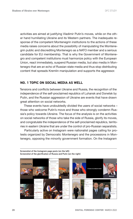<span id="page-26-0"></span>activities are aimed at justifying Vladimir Putin's moves, while on the other hand humiliating Ukraine and its Western partners. The inadequate response of the competent Montenegrin institutions to the actions of these media raises concerns about the possibility of manipulating the Montenegrin public and discrediting Montenegro as a NATO member and a serious candidate for EU membership. That is why the Government of Montenegro and competent institutions must harmonize policy with the European Union, react immediately, suspend Russian media, but also media in Montenegro that are an echo of Russian state media and thus stop distributing content that spreads Kremlin manipulation and supports the aggressor.

### **NO. 1 TOPIC ON SOCIAL MEDIA AS WELL**

Tensions and conflicts between Ukraine and Russia, the recognition of the independence of the self-proclaimed republics of Luhansk and Donetsk by Putin, and the Russian aggression of Ukraine are events that have drawn great attention on social networks.

These events have undoubtedly divided the users of social networks – those who welcome Putin's move and those who strongly condemn Russia's policy towards Ukraine. The focus of the analysis is on the activities on social networks of those who take the side of Russia, glorify its moves, and congratulate the independence of the self-proclaimed republics, territories in eastern Ukraine that are under the control of pro-Russian separatists.

Particularly active on Instagram were nationalist pages calling for protests organized by Democratic Montenegro and the processions in Montenegro, opposing the minority government formation. On the Instagram

Screenshot of the Instagram page posts (on the left) Screenshot of the glorification of Russia and Putin (on the right)

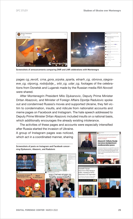

Screenshots of announcements comparing DNR and LNR celebrations with Montenegro

pages *cg\_revolt, crna\_gora\_srpska\_sparta, etnarh\_cg, obnova\_njegoseve\_cg, otporcg, rodoljublje\_, srbi\_cg, udar\_cg*, footages of the celebrations from Donetsk and Lugansk made by the Russian media *RIA Novosti* were shared.

After Montenegrin President Milo Djukanovic, Deputy Prime Minister Dritan Abazovic, and Minister of Foreign Affairs Djordje Radulovic spoke out and condemned Russia's moves and supported Ukraine, they fell victim to condemnation, insults, and ridicule from nationalist accounts and meme pages on Facebook and Instagram. The hate speech addressed to Deputy Prime Minister Dritan Abazovic included insults on a national basis, which additionally encourages the already existing intolerance.

The activities of these pages and accounts were especially intensified after Russia started the invasion of Ukraine.

A group of Instagram pages was noticed, which act in a coordinated manner, sharing

Screenshots of posts on Instagram and Facebook concerning Djukanovic, Abazovic, and Radulovic



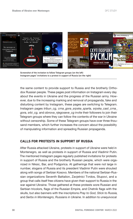<span id="page-28-0"></span>

Screenshot of the invitation to follow Telegram groups (on the left) Instagram pages' invitations to a protest in support of Russia (on the right)

the same content to provide support to Russia and the brotherly Orthodox Russian people. These pages post information on Instagram every day about the events in Ukraine and the progress of the Russian army. However, due to the increasing marking and removal of propaganda, fake and disturbing content by Instagram, these pages are switching to Telegram. Instagram pages *tribun\_cg, crna\_gora\_srpska\_sparta, srpska\_cast\_crna\_ gora, srbi\_cg,* and *obnova\_njegoseve\_cg* invite their followers to join their Telegram groups where they can follow the contents of the war in Ukraine without censorship. Some of these Telegram groups have over three thousand members, which further increases the concern about the possibility of manipulating information and spreading Russian propaganda.

### **CALLS FOR PROTESTS IN SUPPORT OF RUSSIA**

After Russia attacked Ukraine, protests in support of Ukraine were held in Montenegro, as well as protests in support of Russia and Vladimir Putin. The mentioned Instagram pages regularly published invitations for protests in support of Russia and the brotherly Russian people, which were organized in Niksic, Bar, and Podgorica. At gatherings that were not large in number, slogans of Russia and its president Vladimir Putin were shouted along with songs of Serbian Kosovo. Members of the national Serbian-Russian organizations Seventh Battalion, Zavjetnici Tvrdos, Stupovi, and a group that calls itself free citizens have given their support to Russia in the war against Ukraine. Those gathered at these protests wore Russian and Serbian tricolors, flags of the Russian Empire, and Chetnik flags with the skulls, but also banners with the inscriptions *Pray to God, Stick to Russia,* and *Serbs in Montenegro, Russians in Ukraine*. In addition to unequivocal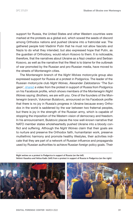support for Russia, the United States and other Western countries were marked at the protests as a global evil, which sowed the seeds of discord among Orthodox nations and pushed Ukraine into a fratricidal war. The gathered people told Vladimir Putin that he must not allow fascists and Nazis to do what they intended, but also expressed hope that Putin, as the guardian of Orthodoxy, would return Kosovo to them. It is noticeable, therefore, that the narratives about Ukraine as a Nazi creation and Serbian Kosovo, as well as the narrative that the West is to blame for the outbreak of war promoted by the Russian and pro-Russian media, have moved to the streets of Montenegrin cities.

The Montenegrin branch of the *Night Wolves* motorcycle group also expressed support for Russia at a protest in Podgorica. The leader of the Russian motorcycle club *Night Wolves*, Alexander Zaldostanov 'The Surgeon', [shared](https://www.facebook.com/100014148996177/videos/1311935535947110/) a video from the protest in support of Russia from Podgorica on his Facebook profile, which shows members of the Montenegrin *Night Wolves* saying: *Brothers, we are with you*. One of the founders of the Montenegrin branch, Vukoman Bulatovic, announced on his Facebook profile that there is no joy in Russia's progress in Ukraine because every Orthodox in the world is saddened by the war between two fraternal peoples, but there is joy in the strength of the Russian army, which is capable of stopping the imposition of the Western vision of democracy and freedom. In his announcement, Bulatovic places the now well-known narrative that NATO member states wholeheartedly pushed Ukraine into a bloody conflict and suffering. Although the *Night Wolves* claim that their goals are to nurture and preserve the Orthodox faith, humanitarian work, preserve multiethnic harmony and promote healthy lifestyles, their activities indicate that they are part of a network of Russian influence and propaganda used by Russian authorities to achieve Russian foreign policy goals. Their

Night wolves on a protest in Podgorica in support of Russia (on the left) Velimir Kasalica and Velisa Kadic (left) from a protest in support of Russia in Podgorica (on the right)



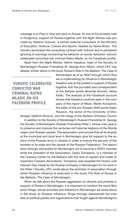message is to *Pray to God and stick to Russia*. At one of the protests held in Podgorica, support for Russia together with the *Night Wolves* was provided by Vladimir Vukovic, a former external consultant of the Ministry of Education, Science, Culture and Sports, headed by Vesna Bratic. The ministry terminated the consulting contract with Vukovic due to persistent ignoring of warnings concerning his behavior on social networks. Vukovic celebrated convicted war criminal Ratko Mladic on his Facebook profile.

Apart from the *Night Wolves*, Velimir Kasalica, head of the Society of Montenegrin-Russian Friendship St. George from Niksic, which DFC has already written about in the study *Russia's Role in the Balkans: The Case of* 

 **VUKOVIC CELEBRATED CONVICTED WAR CRIMINAL RATKO MLADIC ON HIS FACEBOOK PROFILE**

*Montenegro* as of an NGO through which Russia is implementing its influence in Montenegro. Kasalica was at the protest in support of Russia together with the journalist and correspondent of the Serbian portal *Vecernje Novosti*, Velisa Kadic. The analysis of the Facebook account shows that Kasalica could be seen in the company of the mayor of Niksic, Marko Kovacevic, the editor of the pro-Russian *IN4S* portal Gojko Raicevic, the rector of the University of Mon-

tenegro Vladimir Bozovic, and the clergy of the Serbian Orthodox Church.

In addition to the Society of Montenegrin-Russian Friendship St. George, the Society of Montenegrin-Russian Friendship Peter I, whose main goal is to preserve and improve the centuries-old fraternal relations of the Montenegrin and Russian people. The association announced that all its boards at the municipal and local level in Montenegro give full support to the actions of the Russian army in Ukraine in order to ensure the security of the borders of its state and the people of the Russian Federation. The association strongly advocated for Montenegro not to become a NATO member, while the president of the Association, Gojko Tomasevic, is a member of the Cossack Center for the Balkans with the rank of captain and holder of important Cossack decorations. Tomasevic was awarded the Victory over Fascism Day medal by the Russian Embassy in Montenegro for his work in the Peter I Society. DFC wrote about the activities of association through which Russian influence is exercised in the study *The Role of Russia in the Balkans: The Case of Montenegro*.

When we talk about the Russian aggression on Ukraine and protests in support of Russia in Montenegro, it is important to mention the name Benjamin Striga, whose activities and influence in Montenegro we wrote about in the study on Russian influence. Striga strongly represented the interests of political parties and organizations that fought against Montenegro's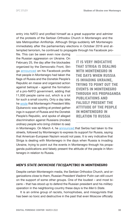<span id="page-31-0"></span>entry into NATO and profiled himself as a great supporter and admirer of the protests of the Serbian Orthodox Church in Montenegro and the late Metropolitan Amfilohije. Although Striga suddenly left Montenegro immediately after the parliamentary elections in October 2016 and attempted terrorism, he continued to propagate through his Facebook pro-

file. This can be seen even now during the Russian aggression on Ukraine. On February 25, the day after the blockades organized by the Democratic Front, Striga [announced](https://www.facebook.com/veniamin.striga/posts/2451966971604077) on his Facebook profile that people in Montenegro had taken the flags of Russia and the Donetsk People's Republic *en masse* and organized action against betrayal – against the formation of a pro-NATO government, adding that 11,000 people came out, which is a lot for such a small country. Only a day later, he [wrote](https://www.facebook.com/veniamin.striga/posts/2453445054789602) that Montenegrin President Milo Djukanovic was spitting at protest gatherings in support of Russia and the Donetsk People's Republic, and spoke of alleged discrimination against Russians (*modest, ordinary people who bring children to sea*)

**IT IS VERY INDICATIVE THAT STRIGA IS DEALING WITH MONTENEGRO IN THE DAYS WHEN RUSSIA IS INVADING UKRAINE, TRYING TO POINT OUT THE EVENTS IN MONTENEGRO THROUGH HIS PROPAGANDA PUBLICATIONS AND FALSELY PRESENT THE ATTITUDE OF THE PEOPLE IN MONTENEGRO IN RELATION TO RUSSIA**

in Montenegro. On March 4, he [announced](https://www.facebook.com/veniamin.striga/posts/2458421687625272) that Serbia had taken to the streets, followed by Montenegro to express its support for Russia, saying that American-European Nazism would not pass. It is very indicative that Striga is dealing with Montenegro in the days when Russia is invading Ukraine, trying to point out the events in Montenegro through his propaganda publications and falsely present the attitude of the people in Montenegro in relation to Russia.

### *MEN'S STATE (МУЖСКОЕ ГОСУДАРСТВО)* **IN MONTENEGRO**

Despite certain Montenegrin media, the Serbian Orthodox Church, and organizations close to them, Russian President Vladimir Putin can still count on the support of some other groups. One of the loudest – and most bizarre – that has stood up to defend the Russian president and his *military operation* in the neighboring country these days is the *Men's State*.

It is an online group of racists, homophobes, and misogynists that has been so toxic and destructive in the past that even Moscow officially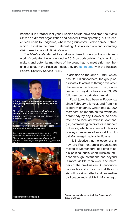banned it in October last year. Russian courts have declared the *Men's State* an extremist organization and banned it from operating, but its leader fled Russia to Podgorica, where the group continued to spread hatred, which has taken the form of celebrating Russia's invasion and spreading disinformation about Ukraine's war.

The *Men's state* started to exist as a closed group on the social network VKontakte. It was founded in 2016 by bodybuilder Vladislav Pozdnjakov, and potential members of the group had to meet strict membership criteria. In the Russian media, they are [connected](https://www.bbcrussian.com/russian/features-45426762) with the Russian Federal Security Service (FSB).



«Я презираю лицемеров, которые сегодня осуждают российское признание Донецка и Луганска».

Черногорец и лидер партии «Свободная Черногория» Владислав Дайкович раскритиковал тех, кто признал Косово, но не признаёт Донбасс.

«Эти пресмыкающиеся аплодировали, когда Косово и Метохию отняли, вопреки всем нормам международного права.

Молчали, когда нас силой затащили в НАТО, вопреки воле большинства населения Черногории, не простившего убийства 23летней давности», - цитирует его издание «О



In addition to the *Men's State*, which has 62,000 subscribers, the group coordinates its activities through five other channels on the Telegram. The group's leader, Pozdnyakov, has about 83,000 followers on his private channel.

Pozdnjakov has been in Podgorica since February this year, and from his Telegram channel, which has 83,000 members, he reports on the events on a front day by day. However, he often referred to local activities in Montenegro, commenting on protests in support of Russia, which he attended. He also conveys messages of support from local Montenegrin actors to Russia.

It is indicative that the leader of this now pro-Putin extremist organization moved to Montenegro, at a time of socio-political crisis when Russian influence through institutions and beyond is more visible than ever, and members of the pro-Russian DF announce blockades and concerns that this crisis will possibly reflect and jeopardize civil peace and stability in Montenegro.

Screenshots published by Vladislav Pozdnyakov's Telegram Group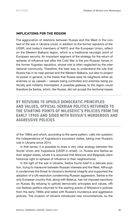### <span id="page-33-0"></span>**IMPLICATIONS FOR THE REGION**

The aggravation of relations between Russia and the West in the context of the war in Ukraine could, in addition to the former republics of the USSR, and today's members of NATO and the European Union, reflect on the Western Balkans region, which is a traditional neuralgic point of European security. An important segment of the strategy for the return of spheres of influence lost after the Cold War is the pro-Russian forces in the former Yugoslav republics, whose role is often neglected by the international community. Therefore, the best way to understand the role that Russia has in its near abroad and the Western Balkans, but also to project its power in general, is the thesis that Russia sees its neighbors either as enemies or as vassals – vassals being controlled and enemies being politically and militarily intimidated. A possible *gateway* to the region could therefore be Serbia, which, like Russia, did not accept the territorial losses

**BY REFUSING TO UPHOLD DEMOCRATIC PRINCIPLES AND VALUES, OFFICIAL SERBIAN POLITICS RETURNED TO THE STARTING POINTS OF MILOSEVIC'S POLICIES FROM THE EARLY 1990S AND SIDED WITH RUSSIA'S MURDEROUS AND AGGRESSIVE POLICIES**

of the 1990s and which, according to the same pattern, calls into question the independence of Yugoslavia's successor states, taking over Russia's role in Ukraine since 2014.

In that sense, it is possible to draw a very clear analogy between the Soviet Union and Yugoslavia (USSR in small), i.e. Russia and Serbia as their largest states, where it is assumed that Moscow and Belgrade claim historical right to spheres of influence in their neighborhood.

In the light of the war in Ukraine, Serbia found itself in a delicate position, trying to maneuver between Russian interests and the West. Although it condemned the threat to Ukraine's territorial integrity and supported the adoption of a UN resolution condemning Russian aggression, Serbia is the only European country that, along with Belarus, has not imposed sanctions on Russia. By refusing to uphold democratic principles and values, official Serbian politics returned to the starting points of Milosevic's policies from the early 1990s and sided with Russia's murderous and aggressive policies. The invasion of Ukraine introduced new circumstances, so the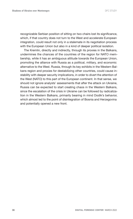recognizable Serbian position of sitting on two chairs lost its significance, which, if that country does not turn to the West and accelerate European integration, could result not only in a stalemate in its negotiation process with the European Union but also in a kind of deeper political isolation.

The Kremlin, directly and indirectly, through its proxies in the Balkans, undermines the chances of the countries of the region for NATO membership, while it has an ambiguous attitude towards the European Union, promoting the alliance with Russia as a political, military, and economic alternative to the West. Russia, through its key exhibits in the Western Balkans region and proxies for destabilizing other countries, could cause instability with deeper security implications, in order to divert the attention of the West (NATO) to this part of the European continent. In that sense, we should not ignore analysts' assessments that after the attack on Ukraine, Russia can be expected to start creating chaos in the Western Balkans, since the escalation of the crisis in Ukraine can be followed by radicalization in the Western Balkans, primarily bearing in mind Dodik's behavior, which almost led to the point of disintegration of Bosnia and Herzegovina and potentially opened a new front.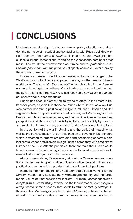# <span id="page-35-0"></span>**CONCLUSIONS**

Ukraine's sovereign right to choose foreign policy direction and abandon the narrative of historical and spiritual unity with Russia collided with Putin's concept of a *state-civilization*, defined as a counterweight (liberal, individualistic, materialistic, *rotten*) to the West as the dominant other reality. The result: the denazification of Ukraine and *the protection of the Russian population from the genocide* allegedly carried out over them by the (current) Ukrainian regime.

Russia's aggression on Ukraine caused a dramatic change in the West's approach to Russia and paved the way for the creation of new world order. The *special military operation* (as it is called in the Kremlin) not only did not get the outlines of a blitzkrieg, as planned, but it united the Euro-Atlantic community. NATO has received a new *raison d'être* and an incentive for further expansion.

Russia has been implementing its hybrid strategy in the Western Balkans for years, especially in those countries where Serbia, as a key Russian partner, has strong political and religious influence – Bosnia and Herzegovina where it supports secessionist policies, and Montenegro where Russia through domestic exponents, and Serbian intelligence, paramilitary, parapolitical and church structures is trying to cause instability by creating and exploiting internal crises, stagnation and disfunction of institutions.

In the context of the war in Ukraine and the period of instability, as well as the obvious malign foreign influence on the events in Montenegro, which is affected by ambivalent attitudes and positioning of certain political actors whose activities are in significant discrepancy with proclaimed European and Euro-Atlantic principles, there are fears that Russia could launch a new crisis hotspot right here in order to divert attention from its own activities and gain room for maneuver.

At the current stage, Montenegro, without the Government and functional institutions, is open to direct Russian influence and influence on political course through its proxies that cover important positions.

In addition to Montenegrin and neighborhood officials working for the *Serbian world*, many activists deny Montenegrin identity and the fundamental values of Montenegrin anti-fascism. For them, Montenegrins *are a people with a mental fallacy* evolved on the fascist model, Montenegro is a *fragmented Serbian country* that needs to return to *factory settings*. In those circles, Montenegro is called *modern Montenegro* based on hatred of Serbs, which will one day return to its roots. Almost identical rhetoric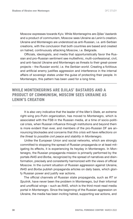Moscow expresses towards Kyiv. While Montenegrins are *Djilas' bastards* and a product of communism, Moscow sees Ukraine as Lenin's creation. Ukraine and Montenegro are understood as anti-Russian, i.e. anti-Serbian creations, with the conclusion that both countries are based and created on hatred, continuously attacking Moscow, i.e. Belgrade.

Officials, ideologists, and media that opportunistically favor the Russian and pro-Russian sentiment see multiethnic, multi-confessional, civil, and anti-fascist Ukraine and Montenegro as threats to their great-power projects – the *Russian world*, i.e. the *Serbian world*. Creating a fictitious and artificial enemy justifies aggression and interference in the internal affairs of sovereign states under the guise of protecting their people. In Montenegro, this pattern has been used for a long time.

### **WHILE MONTENEGRINS ARE DJILAS' BASTARDS AND A PRODUCT OF COMMUNISM, MOSCOW SEES UKRAINE AS LENIN'S CREATION**

It is also very indicative that the leader of the *Men's State*, an extreme right-wing pro-Putin organization, has moved to Montenegro, which is associated with the FSB in the Russian media, at a time of socio-political crisis, when Russian influence through institutions and beyond them is more evident than ever, and members of the pro-Russian DF are announcing blockades and concerns that *this crisis will have reflections on the threat to possible civil peace and stability in Montenegro*.

Unlike the European Union and social networks, which are strongly committed to stopping the spread of Russian propaganda or at least mitigating its effects, it is experiencing its heyday in Montenegro. In Montenegro, the Russian propaganda mission is primarily performed by the portals *IN4S* and *Borba*, recognized by the spread of narratives and disinformation, precisely and consistently harmonized with the views of official Moscow. In the current situation of Russian aggression against Ukraine, *IN4S* and *Borba* publish propaganda articles on daily basis, which glorify Russian power and justify war actions.

The official channels of Russian state propaganda, such as *RT* or *Sputnik*, have never been the problem in Montenegro, but their informal and unofficial wings – such as *IN4S*, which is the third most-read media portal in Montenegro. Since the beginning of the Russian aggression on Ukraine, the media has been inciting hatred, supporting war actions, and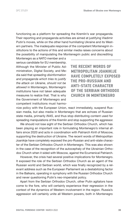functioning as a platform for spreading the Kremlin's war propaganda. Their reporting and propaganda activities are aimed at justifying Vladimir Putin's moves, while on the other hand humiliating Ukraine and its Western partners. The inadequate response of the competent Montenegrin institutions to the actions of this and similar media raises concerns about the possibility of manipulating the Montenegrin public and discrediting

Montenegro as a NATO member and a serious candidate for EU membership. Although the Minister of Public Administration, Digital Society, and Media said that *spreading disinformation and propaganda which tries to justify the attack on Ukraine*, *should not be allowed* in Montenegro, Montenegrin institutions have not taken adequate measures to realize that. That is why the Government of Montenegro and competent institutions must harmo-

**THE RECENT WORDS OF METROPOLITAN JOANIKIJE HAVE COMPLETELY EXPOSED THE PRO-RUSSIAN AND ANTI-STATE CHARACTER OF THE SERBIAN ORTHODOX CHURCH IN MONTENEGRO**

nize policy with the European Union, react immediately, suspend Russian media, but also media in Montenegro that are echoes of Russian state media, primarily *IN4S*, and thus stop distributing content used for spreading manipulations of the Kremlin and stop supporting the aggressor.

We should not lose sight of the Serbian Orthodox Church, which has been playing an important role in formulating Montenegro's internal affairs since 2020 and acts in coordination with Patriarch Kirill of Moscow, supporting the destruction of Ukraine. The recent words of Metropolitan Joanikije have completely exposed the pro-Russian and anti-state character of the Serbian Orthodox Church in Montenegro. This was also shown in the case of the recognition of the autocephaly of the Ukrainian Orthodox Church when it sided with Moscow, against the Ecumenical Patriarch.

However, the crisis had several positive implications for Montenegro. It exposed the role of the Serbian Orthodox Church as an agent of the Russian world and Serbian world, which was finally recognized by a relevant address such as the European Parliament as a destabilizing factor in the Balkans, operating in symphony with the Russian Orthodox Church and never questioning Putin's neo-imperialist policy.

Apart from the Serbian Orthodox Church, other Putin agitators have come to the fore, who will certainly experience their regression in the context of the dynamics of Western involvement in the region. Russia's aggression will certainly unite all Western powers, both in Montenegro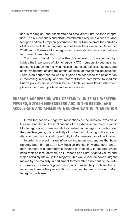and in the region, and accelerate and ameliorate Euro-Atlantic integration. The current crisis and NATO membership require a clear pro-Montenegrin and pro-European government that will not tolerate the activities of Russian and Serbian agents, as has been the case since December 2020, and will ensure Montenegro's long-term stability as a precondition for future EU membership.

The current global crisis after Russia's invasion of Ukraine has highlighted the importance of Montenegro's NATO membership but has shed additional light on internal weaknesses that reflect political, national, and social fragmentation and the continued influx of foreign malign influence. There is no doubt that the war in Ukraine has deepened the polarization in Montenegrin society, and the fact that forces committed to Vladimir Putin's policies are in power (albeit in a technical mandate) further complicates the current political and security issues.

### **RUSSIA'S AGGRESSION WILL CERTAINLY UNITE ALL WESTERN POWERS, BOTH IN MONTENEGRO AND IN THE REGION, AND ACCELERATE AND AMELIORATE EURO-ATLANTIC INTEGRATION**

Given the possible negative implications of the Russian invasion of Ukraine, but also all the implications of the extensive campaign against Montenegro from Russia and its key partner in the region of Serbia over the past few years, the possibility of further complicating political, security, economic and social opportunity in Montenegro cannot be ignored.

In order to prevent malign influence and negative scenarios that have recently been hinted at by key Russian proxies in Montenegro, an urgent reaction of all democratic structures of society is needed, which base their political activism on European and Euro-Atlantic values and which certainly make up the majority. This would include several urgent moves by the majority in parliament formed after a no-confidence vote in Zdravko Krivokapic's government, which would help stabilize the situation and create the preconditions for an institutional solution to Montenegro's problems.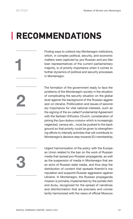**1**

**2**

# <span id="page-39-0"></span>**RECOMMENDATIONS**

Finding ways to unblock key Montenegrin institutions, which, in complex political, security, and economic matters were captured by pro-Russian and pro-Serbian representatives of the current parliamentary majority, is of priority importance when it comes to further dynamics of political and security processes in Montenegro.

The formation of the government ready to face the problems of the Montenegrin society in the situation of complicating the security situation on the global level against the background of the Russian aggression on Ukraine. Politicization and issues of secondary importance for vital national interests, such as the signing of the so-called Fundamental Agreement with the Serbian Orthodox Church, consideration of joining the *Open Balkans Initiative* which is increasingly neglected, census etc., must be pushed to the background so that priority could be given to strengthening efforts to intensify activities that will contribute to Montenegro's decisive step towards EU membership.

**3**

Urgent harmonization of the policy with the European Union related to the ban on the work of Russian media that spread pro-Russian propaganda, as well as the suspension of media in Montenegro that are an echo of Russian state media, and thus stop the distribution of content that spreads Kremlin's manipulation and supports Russian aggression against Ukraine. In Montenegro, the Russian propaganda mission is primarily implemented by the portals *IN4S* and *Borba*, recognized for the spread of narratives and disinformation that are precisely and consistently harmonized with the views of official Moscow.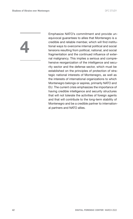**4**

Emphasize NATO's commitment and provide unequivocal guarantees to allies that Montenegro is a credible and reliable member, which will find institutional ways to overcome internal political and social tensions resulting from political, national, and social fragmentation and the continued influence of external malignancy. This implies a serious and comprehensive reorganization of the intelligence and security sector and the defense sector, which must be established on the principles of protection of strategic national interests of Montenegro, as well as the interests of international organizations to which Montenegro belongs or aspires, primarily NATO and EU. The current crisis emphasizes the importance of having credible intelligence and security structures that will not tolerate the activities of foreign agents and that will contribute to the long-term stability of Montenegro and be a credible partner to international partners and NATO allies.